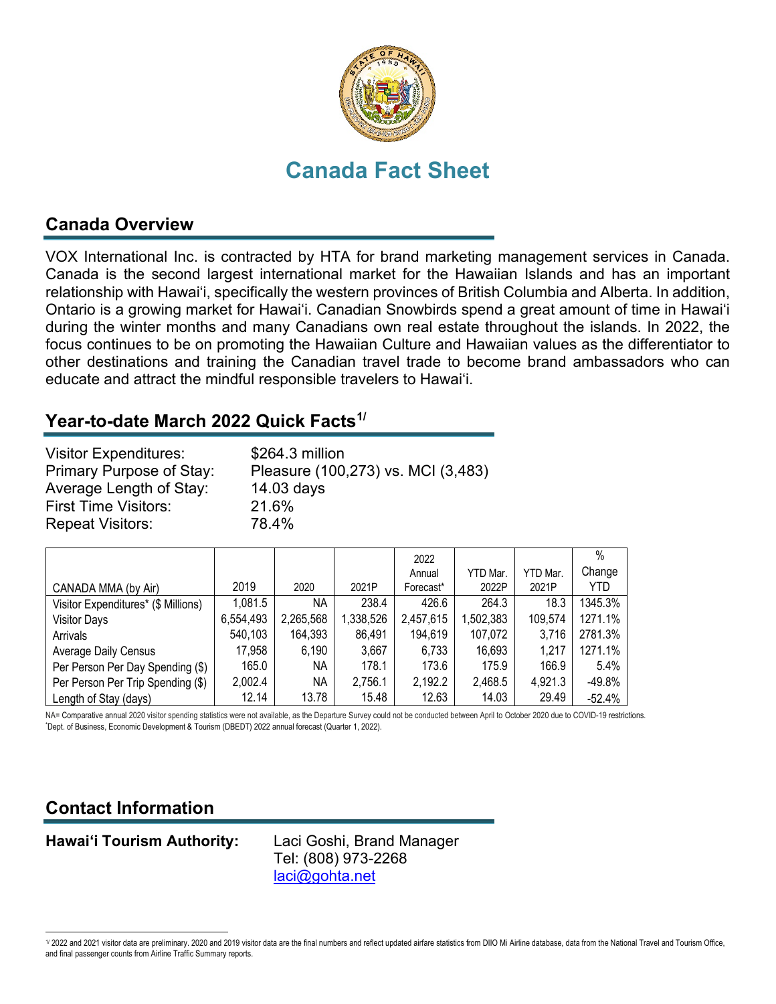

# **Canada Fact Sheet**

### **Canada Overview**

VOX International Inc. is contracted by HTA for brand marketing management services in Canada. Canada is the second largest international market for the Hawaiian Islands and has an important relationship with Hawai'i, specifically the western provinces of British Columbia and Alberta. In addition, Ontario is a growing market for Hawai'i. Canadian Snowbirds spend a great amount of time in Hawai'i during the winter months and many Canadians own real estate throughout the islands. In 2022, the focus continues to be on promoting the Hawaiian Culture and Hawaiian values as the differentiator to other destinations and training the Canadian travel trade to become brand ambassadors who can educate and attract the mindful responsible travelers to Hawai'i.

#### **Year-to-date March 2022 Quick Facts[1/](#page-0-0)**

| <b>Visitor Expenditures:</b><br>Primary Purpose of Stay:<br>Average Length of Stay: | \$264.3 million<br>Pleasure (100,273) vs. MCI (3,483)<br>$14.03$ days |
|-------------------------------------------------------------------------------------|-----------------------------------------------------------------------|
| <b>First Time Visitors:</b>                                                         | 21.6%                                                                 |
| <b>Repeat Visitors:</b>                                                             | 78.4%                                                                 |

|                                     |           |           |           | 2022      |           |          | $\%$     |
|-------------------------------------|-----------|-----------|-----------|-----------|-----------|----------|----------|
|                                     |           |           |           | Annual    | YTD Mar.  | YTD Mar. | Change   |
| CANADA MMA (by Air)                 | 2019      | 2020      | 2021P     | Forecast* | 2022P     | 2021P    | YTD.     |
| Visitor Expenditures* (\$ Millions) | 1,081.5   | NA        | 238.4     | 426.6     | 264.3     | 18.3     | 1345.3%  |
| <b>Visitor Days</b>                 | 6,554,493 | 2,265,568 | 1,338,526 | 2,457,615 | 1,502,383 | 109,574  | 1271.1%  |
| Arrivals                            | 540,103   | 164,393   | 86,491    | 194,619   | 107,072   | 3,716    | 2781.3%  |
| <b>Average Daily Census</b>         | 17,958    | 6,190     | 3,667     | 6,733     | 16,693    | 1,217    | 1271.1%  |
| Per Person Per Day Spending (\$)    | 165.0     | NA.       | 178.1     | 173.6     | 175.9     | 166.9    | 5.4%     |
| Per Person Per Trip Spending (\$)   | 2,002.4   | NA.       | 2,756.1   | 2,192.2   | 2,468.5   | 4,921.3  | -49.8%   |
| Length of Stay (days)               | 12.14     | 13.78     | 15.48     | 12.63     | 14.03     | 29.49    | $-52.4%$ |

NA= Comparative annual 2020 visitor spending statistics were not available, as the Departure Survey could not be conducted between April to October 2020 due to COVID-19 restrictions. Dept. of Business, Economic Development & Tourism (DBEDT) 2022 annual forecast (Quarter 1, 2022).

# **Contact Information**

**Hawai'i Tourism Authority:** Laci Goshi, Brand Manager

Tel: (808) 973-2268 [laci@gohta.net](mailto:laci@gohta.net)

<span id="page-0-0"></span><sup>1/ 2022</sup> and 2021 visitor data are preliminary. 2020 and 2019 visitor data are the final numbers and reflect updated airfare statistics from DIIO Mi Airline database, data from the National Travel and Tourism Office, and final passenger counts from Airline Traffic Summary reports.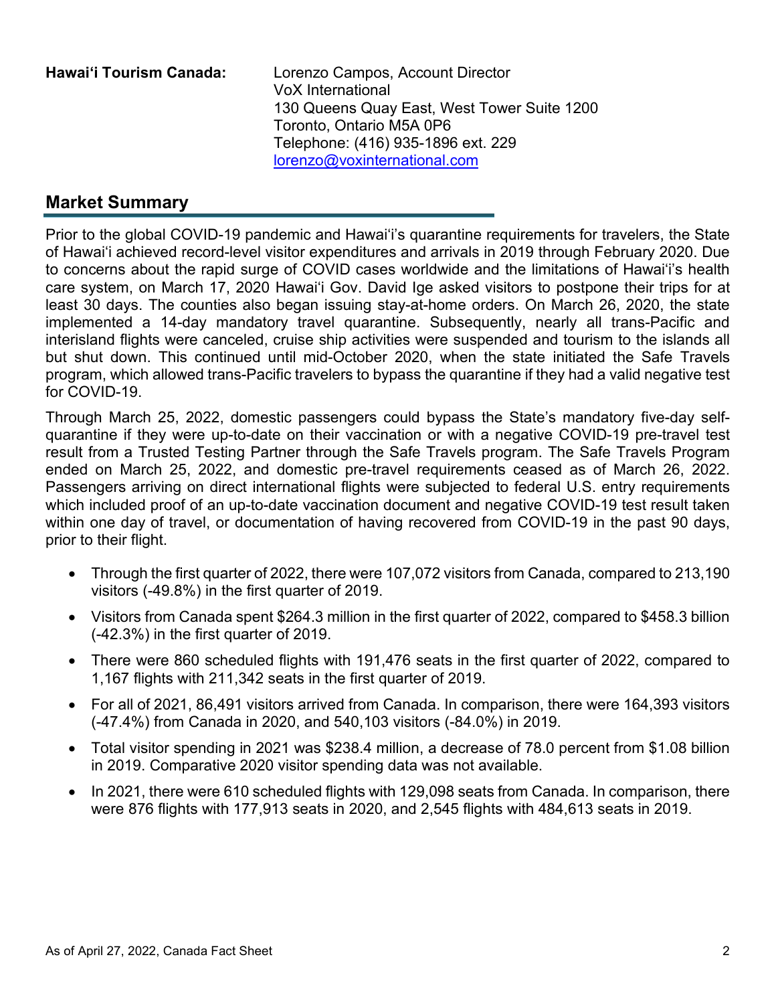**Hawai'i Tourism Canada:** Lorenzo Campos, Account Director VoX International 130 Queens Quay East, West Tower Suite 1200 Toronto, Ontario M5A 0P6 Telephone: (416) 935-1896 ext. 229 [lorenzo@voxinternational.com](mailto:lorenzo@voxinternational.com)

# **Market Summary**

Prior to the global COVID-19 pandemic and Hawai'i's quarantine requirements for travelers, the State of Hawai'i achieved record-level visitor expenditures and arrivals in 2019 through February 2020. Due to concerns about the rapid surge of COVID cases worldwide and the limitations of Hawai'i's health care system, on March 17, 2020 Hawai'i Gov. David Ige asked visitors to [postpone their trips](https://www.staradvertiser.com/2020/03/17/breaking-news/hawaii-records-4-more-cases-of-coronavirus-including-big-islands-first-case/) for at least 30 days. The counties also began issuing stay-at-home orders. On March 26, 2020, the state implemented a 14-day mandatory travel quarantine. Subsequently, nearly all trans-Pacific and interisland flights were canceled, cruise ship activities were suspended and tourism to the islands all but shut down. This continued until mid-October 2020, when the state initiated the Safe Travels program, which allowed trans-Pacific travelers to bypass the quarantine if they had a valid negative test for COVID-19.

Through March 25, 2022, domestic passengers could bypass the State's mandatory five-day selfquarantine if they were up-to-date on their vaccination or with a negative COVID-19 pre-travel test result from a Trusted Testing Partner through the Safe Travels program. The Safe Travels Program ended on March 25, 2022, and domestic pre-travel requirements ceased as of March 26, 2022. Passengers arriving on direct international flights were subjected to federal U.S. entry requirements which included proof of an up-to-date vaccination document and negative COVID-19 test result taken within one day of travel, or documentation of having recovered from COVID-19 in the past 90 days, prior to their flight.

- Through the first quarter of 2022, there were 107,072 visitors from Canada, compared to 213,190 visitors (-49.8%) in the first quarter of 2019.
- Visitors from Canada spent \$264.3 million in the first quarter of 2022, compared to \$458.3 billion (-42.3%) in the first quarter of 2019.
- There were 860 scheduled flights with 191,476 seats in the first quarter of 2022, compared to 1,167 flights with 211,342 seats in the first quarter of 2019.
- For all of 2021, 86,491 visitors arrived from Canada. In comparison, there were 164,393 visitors (-47.4%) from Canada in 2020, and 540,103 visitors (-84.0%) in 2019.
- Total visitor spending in 2021 was \$238.4 million, a decrease of 78.0 percent from \$1.08 billion in 2019. Comparative 2020 visitor spending data was not available.
- In 2021, there were 610 scheduled flights with 129,098 seats from Canada. In comparison, there were 876 flights with 177,913 seats in 2020, and 2,545 flights with 484,613 seats in 2019.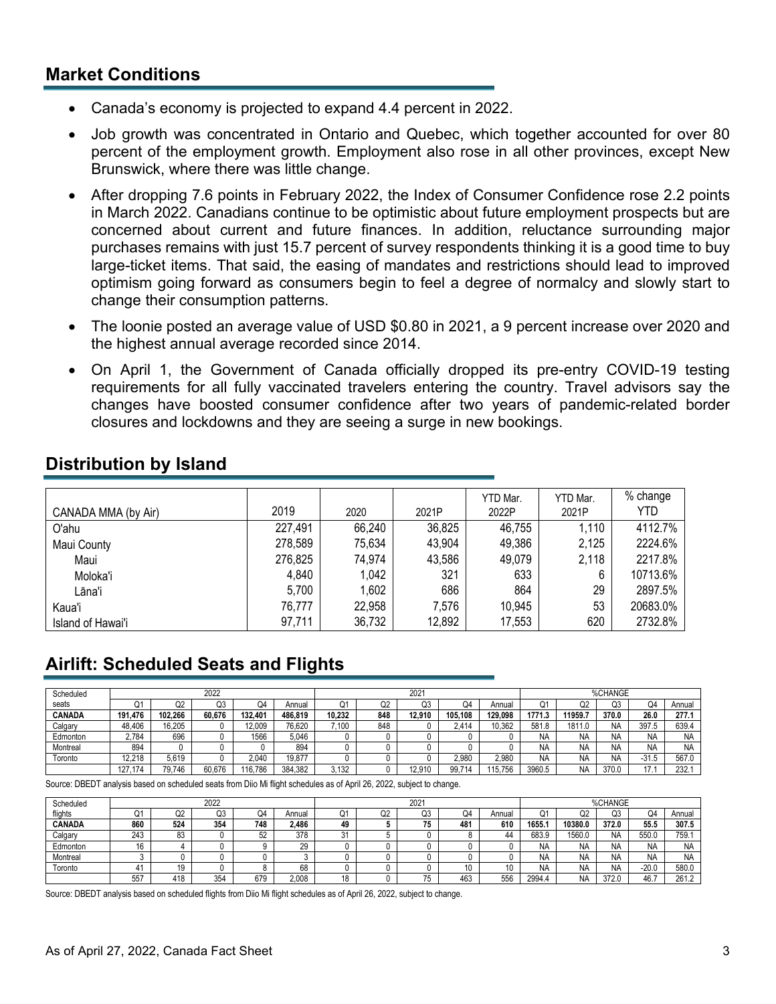#### **Market Conditions**

- Canada's economy is projected to expand 4.4 percent in 2022.
- Job growth was concentrated in Ontario and Quebec, which together accounted for over 80 percent of the employment growth. Employment also rose in all other provinces, except New Brunswick, where there was little change.
- After dropping 7.6 points in February 2022, the Index of Consumer Confidence rose 2.2 points in March 2022. Canadians continue to be optimistic about future employment prospects but are concerned about current and future finances. In addition, reluctance surrounding major purchases remains with just 15.7 percent of survey respondents thinking it is a good time to buy large-ticket items. That said, the easing of mandates and restrictions should lead to improved optimism going forward as consumers begin to feel a degree of normalcy and slowly start to change their consumption patterns.
- The loonie posted an average value of USD \$0.80 in 2021, a 9 percent increase over 2020 and the highest annual average recorded since 2014.
- On April 1, the Government of Canada officially dropped its pre-entry COVID-19 testing requirements for all fully vaccinated travelers entering the country. Travel advisors say the changes have boosted consumer confidence after two years of pandemic-related border closures and lockdowns and they are seeing a surge in new bookings.

|                     |         |        |        | YTD Mar. | YTD Mar. | % change |
|---------------------|---------|--------|--------|----------|----------|----------|
| CANADA MMA (by Air) | 2019    | 2020   | 2021P  | 2022P    | 2021P    | YTD      |
| O'ahu               | 227,491 | 66,240 | 36,825 | 46,755   | 1,110    | 4112.7%  |
| Maui County         | 278,589 | 75,634 | 43,904 | 49,386   | 2,125    | 2224.6%  |
| Maui                | 276,825 | 74,974 | 43,586 | 49,079   | 2,118    | 2217.8%  |
| Moloka'i            | 4,840   | 1,042  | 321    | 633      | 6        | 10713.6% |
| Lāna'i              | 5,700   | 1.602  | 686    | 864      | 29       | 2897.5%  |
| Kaua'i              | 76,777  | 22,958 | 7,576  | 10,945   | 53       | 20683.0% |
| Island of Hawai'i   | 97,711  | 36,732 | 12,892 | 17,553   | 620      | 2732.8%  |

#### **Distribution by Island**

# **Airlift: Scheduled Seats and Flights**

| Scheduled     | 2022    |         |        |         |         | $202 -$ |     |        |         | %CHANGE |        |           |           |           |           |
|---------------|---------|---------|--------|---------|---------|---------|-----|--------|---------|---------|--------|-----------|-----------|-----------|-----------|
| seats         | Q.      | Q2      | Q3     | Q4      | Annual  | Q1      | Q2  | Q3     | Q4      | Annual  | O.     | Q2        | კკ        | Q4        | Annual    |
| <b>CANADA</b> | 191.476 | 102.266 | 60.676 | 132.401 | 486.819 | 10.232  | 848 | 12.910 | 105.108 | 129.098 | 1771.3 | 11959.7   | 370.0     | 26.0      | 277.1     |
| Calgary       | 48.406  | 16.205  |        | 12.009  | 76.620  | .100    | 848 |        | 2.414   | 10.362  | 581.8  | 1811.0    | ΝA        | 397.5     | 639.4     |
| Edmonton      | 2.784   | 696     |        | 1566    | 5.046   |         |     |        |         |         | N۶     | <b>NA</b> | <b>NA</b> | <b>NA</b> | <b>NA</b> |
| Montreal      | 894     |         |        |         | 894     |         |     |        |         |         | N۶     | <b>NA</b> | ΝA        | <b>NA</b> | <b>NA</b> |
| Toronto       | 12.218  | 5.619   |        | 2.040   | 19.877  |         |     |        | 2.980   | 2.980   | N۵     | <b>NA</b> | ΝA        | $-31.5$   | 567.0     |
|               | 174     | 79.746  | 60.676 | 16.786  | 384.382 | .132    |     | 2.910  | 99.71   | 15.756  | 3960.5 | <b>NA</b> | 370.      | 17        | 232.      |

Source: DBEDT analysis based on scheduled seats from Diio Mi flight schedules as of April 26, 2022, subject to change.

| Scheduled     | 2022 |           |     |     |        |           | $202 -$  |            |     |                | %CHANGE |           |       |           |           |
|---------------|------|-----------|-----|-----|--------|-----------|----------|------------|-----|----------------|---------|-----------|-------|-----------|-----------|
| flights       | u.   | Q2        | Q3  | Q4  | Annual | ∩≄<br>u l | ^^<br>uz | Q3         | Q4  | Annual         | 0       | O2        | ∩ว    | Q4        | Annual    |
| <b>CANADA</b> | 860  | 524       | 354 | 748 | 2.486  | 49        |          | 75<br>. כ  | 481 | 610            | 1655.7  | 10380.0   | 372.0 | 55.5      | 307.5     |
| Calgary       | 243  | 83        |     | 52  | 378    | 21<br>ا ت |          |            |     | 44             | 683.9   | 1560.0    | ΝA    | 550.0     | 759.      |
| Edmonton      | 16   |           |     |     | 29     |           |          |            |     |                | N/      | <b>NA</b> | ΝA    | <b>NA</b> | <b>NA</b> |
| Montreal      |      |           |     |     |        |           |          |            |     |                | N/      | <b>NA</b> | ΝA    | <b>NA</b> | NA        |
| Toronto       | 4    | 19<br>. J |     |     | 68     |           |          |            | ש ו | $\overline{f}$ | N۶      | <b>NA</b> | ΝA    | -20.0     | 580.0     |
|               | 557  | 418       | 354 | 679 | 2.008  |           |          | $- -$<br>w | 463 | 556            | 2994.4  | <b>NA</b> | 372.1 | 46.7      | 261.2     |

Source: DBEDT analysis based on scheduled flights from Diio Mi flight schedules as of April 26, 2022, subject to change.